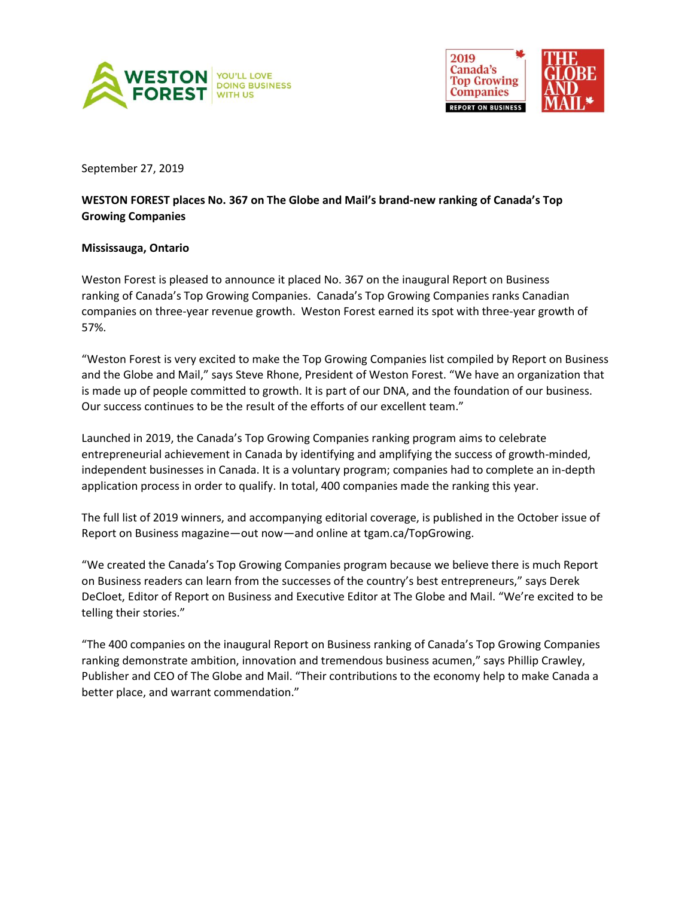



September 27, 2019

## **WESTON FOREST places No. 367 on The Globe and Mail's brand-new ranking of Canada's Top Growing Companies**

## **Mississauga, Ontario**

Weston Forest is pleased to announce it placed No. 367 on the inaugural Report on Business ranking of Canada's Top Growing Companies. Canada's Top Growing Companies ranks Canadian companies on three-year revenue growth. Weston Forest earned its spot with three-year growth of 57%.

"Weston Forest is very excited to make the Top Growing Companies list compiled by Report on Business and the Globe and Mail," says Steve Rhone, President of Weston Forest. "We have an organization that is made up of people committed to growth. It is part of our DNA, and the foundation of our business. Our success continues to be the result of the efforts of our excellent team."

Launched in 2019, the Canada's Top Growing Companies ranking program aims to celebrate entrepreneurial achievement in Canada by identifying and amplifying the success of growth-minded, independent businesses in Canada. It is a voluntary program; companies had to complete an in-depth application process in order to qualify. In total, 400 companies made the ranking this year.

The full list of 2019 winners, and accompanying editorial coverage, is published in the October issue of Report on Business magazine—out now—and online at tgam.ca/TopGrowing.

"We created the Canada's Top Growing Companies program because we believe there is much Report on Business readers can learn from the successes of the country's best entrepreneurs," says Derek DeCloet, Editor of Report on Business and Executive Editor at The Globe and Mail. "We're excited to be telling their stories."

"The 400 companies on the inaugural Report on Business ranking of Canada's Top Growing Companies ranking demonstrate ambition, innovation and tremendous business acumen," says Phillip Crawley, Publisher and CEO of The Globe and Mail. "Their contributions to the economy help to make Canada a better place, and warrant commendation."